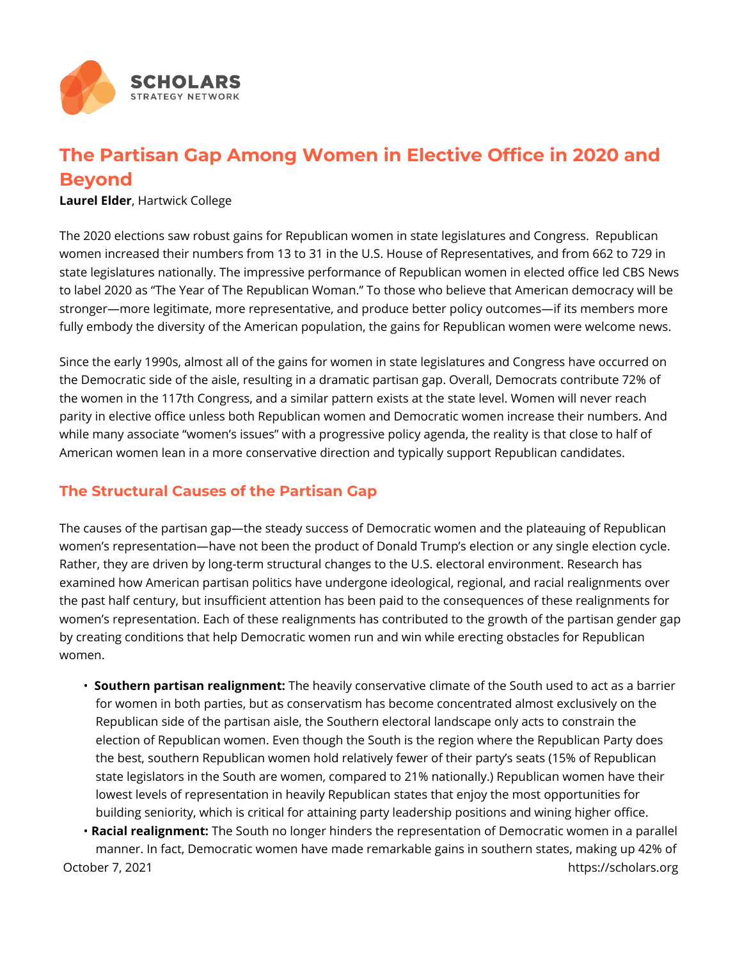

## **The Partisan Gap Among Women in Elective Office in 2020 and Beyond**

**Laurel Elder**, Hartwick College

The 2020 elections saw robust gains for Republican women in state legislatures and Congress. Republican women increased their numbers from 13 to 31 in the U.S. House of Representatives, and from 662 to 729 in state legislatures nationally. The impressive performance of Republican women in elected office led CBS News to label 2020 as "The Year of The Republican Woman." To those who believe that American democracy will be stronger—more legitimate, more representative, and produce better policy outcomes—if its members more fully embody the diversity of the American population, the gains for Republican women were welcome news.

Since the early 1990s, almost all of the gains for women in state legislatures and Congress have occurred on the Democratic side of the aisle, resulting in a dramatic partisan gap. Overall, Democrats contribute 72% of the women in the 117th Congress, and a similar pattern exists at the state level. Women will never reach parity in elective office unless both Republican women and Democratic women increase their numbers. And while many associate "women's issues" with a progressive policy agenda, the reality is that close to half of American women lean in a more conservative direction and typically support Republican candidates.

## **The Structural Causes of the Partisan Gap**

The causes of the partisan gap—the steady success of Democratic women and the plateauing of Republican women's representation—have not been the product of Donald Trump's election or any single election cycle. Rather, they are driven by long-term structural changes to the U.S. electoral environment. Research has examined how American partisan politics have undergone ideological, regional, and racial realignments over the past half century, but insufficient attention has been paid to the consequences of these realignments for women's representation. Each of these realignments has contributed to the growth of the partisan gender gap by creating conditions that help Democratic women run and win while erecting obstacles for Republican women.

• **Southern partisan realignment:** The heavily conservative climate of the South used to act as a barrier for women in both parties, but as conservatism has become concentrated almost exclusively on the Republican side of the partisan aisle, the Southern electoral landscape only acts to constrain the election of Republican women. Even though the South is the region where the Republican Party does the best, southern Republican women hold relatively fewer of their party's seats (15% of Republican state legislators in the South are women, compared to 21% nationally.) Republican women have their lowest levels of representation in heavily Republican states that enjoy the most opportunities for building seniority, which is critical for attaining party leadership positions and wining higher office.

• **Racial realignment:** The South no longer hinders the representation of Democratic women in a parallel manner. In fact, Democratic women have made remarkable gains in southern states, making up 42% of October 7, 2021 https://scholars.org/